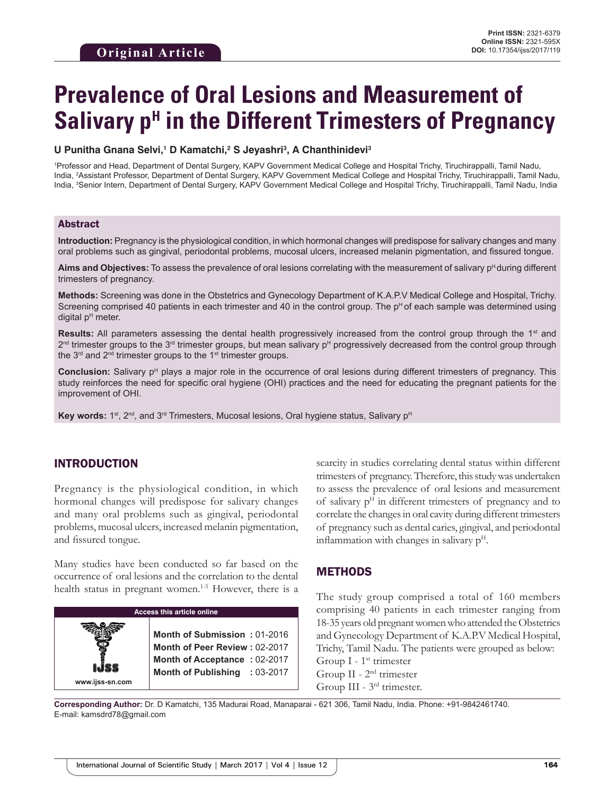# **Prevalence of Oral Lesions and Measurement of Salivary p<sup>H</sup> in the Different Trimesters of Pregnancy**

#### U Punitha Gnana Selvi,<sup>1</sup> D Kamatchi,<sup>2</sup> S Jeyashri<sup>3</sup>, A Chanthinidevi<sup>3</sup>

1 Professor and Head, Department of Dental Surgery, KAPV Government Medical College and Hospital Trichy, Tiruchirappalli, Tamil Nadu, India, 2 Assistant Professor, Department of Dental Surgery, KAPV Government Medical College and Hospital Trichy, Tiruchirappalli, Tamil Nadu, India, <sup>3</sup>Senior Intern, Department of Dental Surgery, KAPV Government Medical College and Hospital Trichy, Tiruchirappalli, Tamil Nadu, India

#### Abstract

**Introduction:** Pregnancy is the physiological condition, in which hormonal changes will predispose for salivary changes and many oral problems such as gingival, periodontal problems, mucosal ulcers, increased melanin pigmentation, and fissured tongue.

Aims and Objectives: To assess the prevalence of oral lesions correlating with the measurement of salivary p<sup>H</sup> during different trimesters of pregnancy.

**Methods:** Screening was done in the Obstetrics and Gynecology Department of K.A.P.V Medical College and Hospital, Trichy. Screening comprised 40 patients in each trimester and 40 in the control group. The  $p^H$  of each sample was determined using digital  $p<sup>H</sup>$  meter.

**Results:** All parameters assessing the dental health progressively increased from the control group through the 1<sup>st</sup> and  $2<sup>nd</sup>$  trimester groups to the  $3<sup>rd</sup>$  trimester groups, but mean salivary p<sup>H</sup> progressively decreased from the control group through the  $3<sup>rd</sup>$  and  $2<sup>nd</sup>$  trimester groups to the 1<sup>st</sup> trimester groups.

**Conclusion:** Salivary p<sup>H</sup> plays a major role in the occurrence of oral lesions during different trimesters of pregnancy. This study reinforces the need for specific oral hygiene (OHI) practices and the need for educating the pregnant patients for the improvement of OHI.

**Key words:** 1<sup>st</sup>, 2<sup>nd</sup>, and 3<sup>rd</sup> Trimesters, Mucosal lesions, Oral hygiene status, Salivary p<sup>H</sup>

## INTRODUCTION

Pregnancy is the physiological condition, in which hormonal changes will predispose for salivary changes and many oral problems such as gingival, periodontal problems, mucosal ulcers, increased melanin pigmentation, and fissured tongue.

Many studies have been conducted so far based on the occurrence of oral lesions and the correlation to the dental health status in pregnant women.<sup>1-5</sup> However, there is a

| <b>Access this article online</b> |                                                                                                                                |  |  |  |
|-----------------------------------|--------------------------------------------------------------------------------------------------------------------------------|--|--|--|
| www.ijss-sn.com                   | Month of Submission: 01-2016<br>Month of Peer Review: 02-2017<br>Month of Acceptance: 02-2017<br>Month of Publishing : 03-2017 |  |  |  |

scarcity in studies correlating dental status within different trimesters of pregnancy. Therefore, this study was undertaken to assess the prevalence of oral lesions and measurement of salivary  $p<sup>H</sup>$  in different trimesters of pregnancy and to correlate the changes in oral cavity during different trimesters of pregnancy such as dental caries, gingival, and periodontal inflammation with changes in salivary  $p<sup>H</sup>$ .

#### METHODS

The study group comprised a total of 160 members comprising 40 patients in each trimester ranging from 18-35 years old pregnant women who attended the Obstetrics and Gynecology Department of K.A.P.V Medical Hospital, Trichy, Tamil Nadu. The patients were grouped as below: Group  $I - 1$ <sup>st</sup> trimester Group II - 2nd trimester Group III - 3rd trimester.

**Corresponding Author:** Dr. D Kamatchi, 135 Madurai Road, Manaparai - 621 306, Tamil Nadu, India. Phone: +91-9842461740. E-mail: kamsdrd78@gmail.com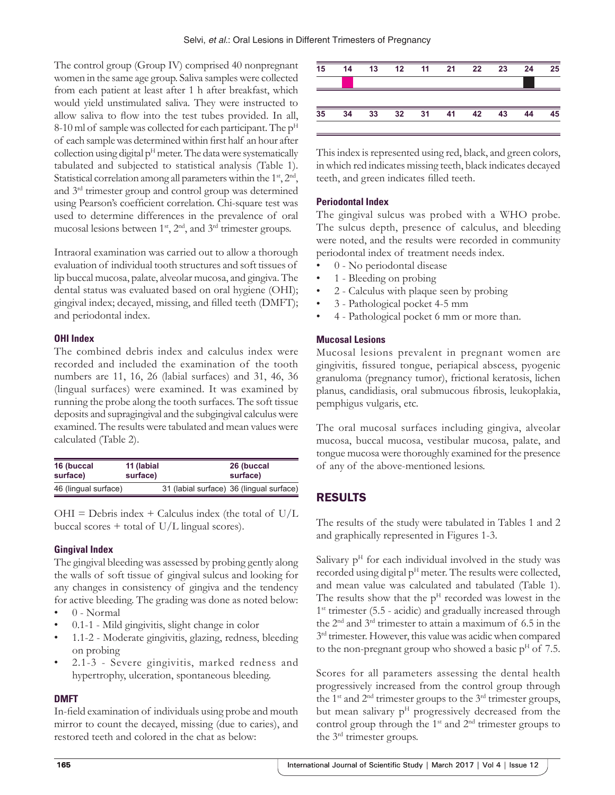The control group (Group IV) comprised 40 nonpregnant women in the same age group. Saliva samples were collected from each patient at least after 1 h after breakfast, which would yield unstimulated saliva. They were instructed to allow saliva to flow into the test tubes provided. In all, 8-10 ml of sample was collected for each participant. The  $p<sup>H</sup>$ of each sample was determined within first half an hour after collection using digital  $p<sup>H</sup>$  meter. The data were systematically tabulated and subjected to statistical analysis (Table 1). Statistical correlation among all parameters within the 1<sup>st</sup>, 2<sup>nd</sup>, and 3rd trimester group and control group was determined using Pearson's coefficient correlation. Chi-square test was used to determine differences in the prevalence of oral mucosal lesions between  $1<sup>st</sup>$ ,  $2<sup>nd</sup>$ , and  $3<sup>rd</sup>$  trimester groups.

Intraoral examination was carried out to allow a thorough evaluation of individual tooth structures and soft tissues of lip buccal mucosa, palate, alveolar mucosa, and gingiva. The dental status was evaluated based on oral hygiene (OHI); gingival index; decayed, missing, and filled teeth (DMFT); and periodontal index.

#### **OHI Index**

The combined debris index and calculus index were recorded and included the examination of the tooth numbers are 11, 16, 26 (labial surfaces) and 31, 46, 36 (lingual surfaces) were examined. It was examined by running the probe along the tooth surfaces. The soft tissue deposits and supragingival and the subgingival calculus were examined. The results were tabulated and mean values were calculated (Table 2).

| 16 (buccal           | 11 (labial | 26 (buccal                               |
|----------------------|------------|------------------------------------------|
| surface)             | surface)   | surface)                                 |
| 46 (lingual surface) |            | 31 (labial surface) 36 (lingual surface) |

 $OHI = Debris$  index + Calculus index (the total of  $U/L$ buccal scores  $+$  total of U/L lingual scores).

#### **Gingival Index**

The gingival bleeding was assessed by probing gently along the walls of soft tissue of gingival sulcus and looking for any changes in consistency of gingiva and the tendency for active bleeding. The grading was done as noted below:

- 0 Normal
- 0.1-1 Mild gingivitis, slight change in color
- 1.1-2 Moderate gingivitis, glazing, redness, bleeding on probing
- 2.1-3 Severe gingivitis, marked redness and hypertrophy, ulceration, spontaneous bleeding.

#### **DMFT**

In-field examination of individuals using probe and mouth mirror to count the decayed, missing (due to caries), and restored teeth and colored in the chat as below:



This index is represented using red, black, and green colors, in which red indicates missing teeth, black indicates decayed teeth, and green indicates filled teeth.

#### **Periodontal Index**

The gingival sulcus was probed with a WHO probe. The sulcus depth, presence of calculus, and bleeding were noted, and the results were recorded in community periodontal index of treatment needs index.

- 0 No periodontal disease
- 1 Bleeding on probing
- 2 Calculus with plaque seen by probing
- 3 Pathological pocket 4-5 mm
- 4 Pathological pocket 6 mm or more than.

#### **Mucosal Lesions**

Mucosal lesions prevalent in pregnant women are gingivitis, fissured tongue, periapical abscess, pyogenic granuloma (pregnancy tumor), frictional keratosis, lichen planus, candidiasis, oral submucous fibrosis, leukoplakia, pemphigus vulgaris, etc.

The oral mucosal surfaces including gingiva, alveolar mucosa, buccal mucosa, vestibular mucosa, palate, and tongue mucosa were thoroughly examined for the presence of any of the above-mentioned lesions.

## RESULTS

The results of the study were tabulated in Tables 1 and 2 and graphically represented in Figures 1-3.

Salivary  $p<sup>H</sup>$  for each individual involved in the study was recorded using digital  $p<sup>H</sup>$  meter. The results were collected, and mean value was calculated and tabulated (Table 1). The results show that the  $p<sup>H</sup>$  recorded was lowest in the 1<sup>st</sup> trimester (5.5 - acidic) and gradually increased through the 2nd and 3rd trimester to attain a maximum of 6.5 in the  $3<sup>rd</sup>$  trimester. However, this value was acidic when compared to the non-pregnant group who showed a basic  $p<sup>H</sup>$  of 7.5.

Scores for all parameters assessing the dental health progressively increased from the control group through the 1st and 2nd trimester groups to the 3rd trimester groups, but mean salivary  $p<sup>H</sup>$  progressively decreased from the control group through the  $1<sup>st</sup>$  and  $2<sup>nd</sup>$  trimester groups to the 3rd trimester groups.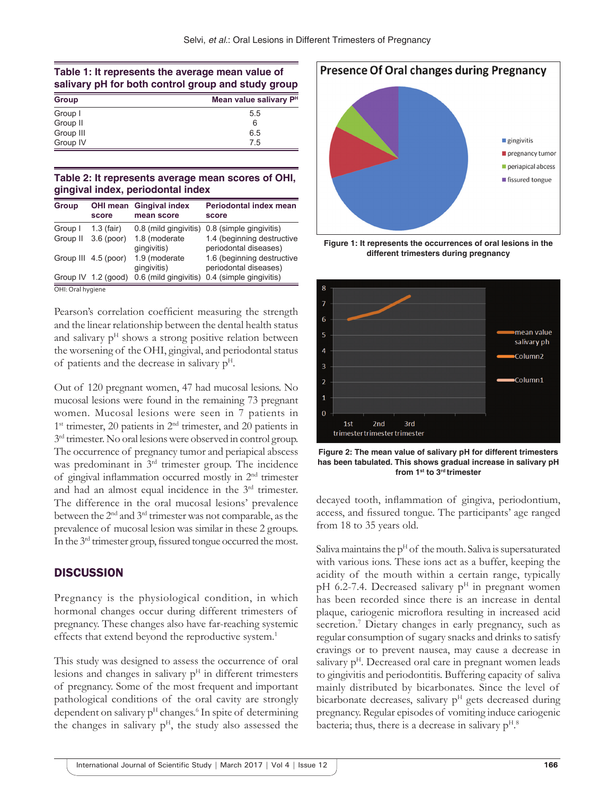#### **Table 1: It represents the average mean value of salivary pH for both control group and study group**

| Group     | Mean value salivary P <sup>H</sup> |  |
|-----------|------------------------------------|--|
| Group I   | 5.5                                |  |
| Group II  | 6                                  |  |
| Group III | 6.5                                |  |
| Group IV  | 7.5                                |  |

#### **Table 2: It represents average mean scores of OHI, gingival index, periodontal index**

| <b>Group</b>      | OHI mean<br>score     | <b>Gingival index</b><br>mean score | <b>Periodontal index mean</b><br>score              |  |  |
|-------------------|-----------------------|-------------------------------------|-----------------------------------------------------|--|--|
| Group I           | $1.3$ (fair)          | 0.8 (mild gingivitis)               | 0.8 (simple gingivitis)                             |  |  |
| Group II          | $3.6$ (poor)          | 1.8 (moderate<br>qinqivitis)        | 1.4 (beginning destructive<br>periodontal diseases) |  |  |
|                   | Group III 4.5 (poor)  | 1.9 (moderate<br>qinqivitis)        | 1.6 (beginning destructive<br>periodontal diseases) |  |  |
|                   | Group IV $1.2$ (good) | 0.6 (mild gingivitis)               | 0.4 (simple gingivitis)                             |  |  |
| OHI: Oral hygiene |                       |                                     |                                                     |  |  |

Pearson's correlation coefficient measuring the strength and the linear relationship between the dental health status and salivary  $p<sup>H</sup>$  shows a strong positive relation between the worsening of the OHI, gingival, and periodontal status of patients and the decrease in salivary  $p<sup>H</sup>$ .

Out of 120 pregnant women, 47 had mucosal lesions. No mucosal lesions were found in the remaining 73 pregnant women. Mucosal lesions were seen in 7 patients in  $1<sup>st</sup>$  trimester, 20 patients in  $2<sup>nd</sup>$  trimester, and 20 patients in  $3<sup>rd</sup>$  trimester. No oral lesions were observed in control group. The occurrence of pregnancy tumor and periapical abscess was predominant in 3<sup>rd</sup> trimester group. The incidence of gingival inflammation occurred mostly in 2nd trimester and had an almost equal incidence in the 3rd trimester. The difference in the oral mucosal lesions' prevalence between the 2nd and 3rd trimester was not comparable, as the prevalence of mucosal lesion was similar in these 2 groups. In the 3rd trimester group, fissured tongue occurred the most.

#### **DISCUSSION**

Pregnancy is the physiological condition, in which hormonal changes occur during different trimesters of pregnancy. These changes also have far-reaching systemic effects that extend beyond the reproductive system.<sup>1</sup>

This study was designed to assess the occurrence of oral lesions and changes in salivary  $p<sup>H</sup>$  in different trimesters of pregnancy. Some of the most frequent and important pathological conditions of the oral cavity are strongly dependent on salivary  $p<sup>H</sup>$  changes.<sup>6</sup> In spite of determining the changes in salivary  $p<sup>H</sup>$ , the study also assessed the



**Figure 1: It represents the occurrences of oral lesions in the different trimesters during pregnancy**



**Figure 2: The mean value of salivary pH for different trimesters has been tabulated. This shows gradual increase in salivary pH from 1st to 3rd trimester**

decayed tooth, inflammation of gingiva, periodontium, access, and fissured tongue. The participants' age ranged from 18 to 35 years old.

Saliva maintains the  $p<sup>H</sup>$  of the mouth. Saliva is supersaturated with various ions. These ions act as a buffer, keeping the acidity of the mouth within a certain range, typically pH 6.2-7.4. Decreased salivary  $p<sup>H</sup>$  in pregnant women has been recorded since there is an increase in dental plaque, cariogenic microflora resulting in increased acid secretion.<sup>7</sup> Dietary changes in early pregnancy, such as regular consumption of sugary snacks and drinks to satisfy cravings or to prevent nausea, may cause a decrease in salivary  $p<sup>H</sup>$ . Decreased oral care in pregnant women leads to gingivitis and periodontitis. Buffering capacity of saliva mainly distributed by bicarbonates. Since the level of bicarbonate decreases, salivary  $p<sup>H</sup>$  gets decreased during pregnancy. Regular episodes of vomiting induce cariogenic bacteria; thus, there is a decrease in salivary  $p<sup>H,8</sup>$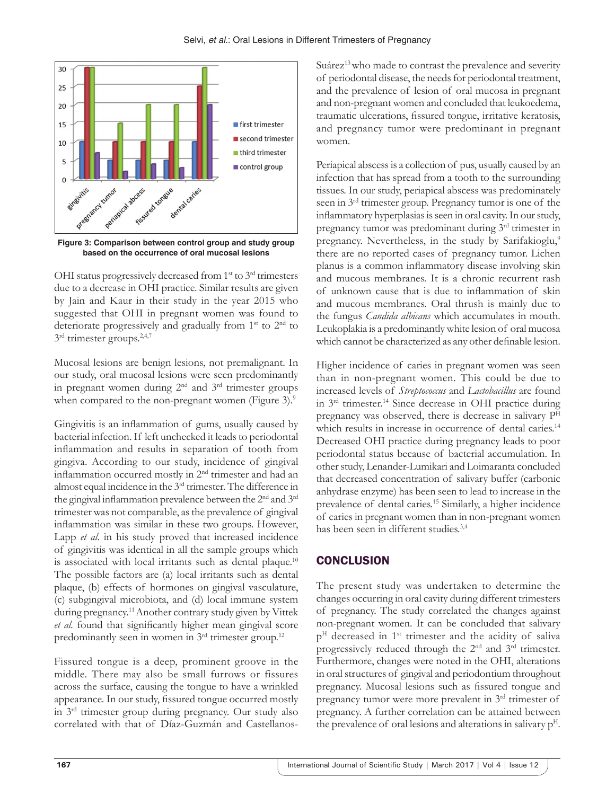

**Figure 3: Comparison between control group and study group based on the occurrence of oral mucosal lesions**

OHI status progressively decreased from 1<sup>st</sup> to 3<sup>rd</sup> trimesters due to a decrease in OHI practice. Similar results are given by Jain and Kaur in their study in the year 2015 who suggested that OHI in pregnant women was found to deteriorate progressively and gradually from 1<sup>st</sup> to 2<sup>nd</sup> to  $3<sup>rd</sup>$  trimester groups.<sup>2,4,7</sup>

Mucosal lesions are benign lesions, not premalignant. In our study, oral mucosal lesions were seen predominantly in pregnant women during 2nd and 3rd trimester groups when compared to the non-pregnant women (Figure 3).<sup>9</sup>

Gingivitis is an inflammation of gums, usually caused by bacterial infection. If left unchecked it leads to periodontal inflammation and results in separation of tooth from gingiva. According to our study, incidence of gingival inflammation occurred mostly in 2nd trimester and had an almost equal incidence in the 3rd trimester. The difference in the gingival inflammation prevalence between the 2<sup>nd</sup> and 3<sup>rd</sup> trimester was not comparable, as the prevalence of gingival inflammation was similar in these two groups. However, Lapp *et al*. in his study proved that increased incidence of gingivitis was identical in all the sample groups which is associated with local irritants such as dental plaque.<sup>10</sup> The possible factors are (a) local irritants such as dental plaque, (b) effects of hormones on gingival vasculature, (c) subgingival microbiota, and (d) local immune system during pregnancy.<sup>11</sup> Another contrary study given by Vittek *et al.* found that significantly higher mean gingival score predominantly seen in women in 3rd trimester group.12

Fissured tongue is a deep, prominent groove in the middle. There may also be small furrows or fissures across the surface, causing the tongue to have a wrinkled appearance. In our study, fissured tongue occurred mostly in 3rd trimester group during pregnancy. Our study also correlated with that of Díaz-Guzmán and CastellanosSuárez<sup>13</sup> who made to contrast the prevalence and severity of periodontal disease, the needs for periodontal treatment, and the prevalence of lesion of oral mucosa in pregnant and non-pregnant women and concluded that leukoedema, traumatic ulcerations, fissured tongue, irritative keratosis, and pregnancy tumor were predominant in pregnant women.

Periapical abscess is a collection of pus, usually caused by an infection that has spread from a tooth to the surrounding tissues. In our study, periapical abscess was predominately seen in 3rd trimester group. Pregnancy tumor is one of the inflammatory hyperplasias is seen in oral cavity. In our study, pregnancy tumor was predominant during 3rd trimester in pregnancy. Nevertheless, in the study by Sarifakioglu,<sup>9</sup> there are no reported cases of pregnancy tumor. Lichen planus is a common inflammatory disease involving skin and mucous membranes. It is a chronic recurrent rash of unknown cause that is due to inflammation of skin and mucous membranes. Oral thrush is mainly due to the fungus *Candida albicans* which accumulates in mouth. Leukoplakia is a predominantly white lesion of oral mucosa which cannot be characterized as any other definable lesion.

Higher incidence of caries in pregnant women was seen than in non-pregnant women. This could be due to increased levels of *Streptococcus* and *Lactobacillus* are found in 3rd trimester.14 Since decrease in OHI practice during pregnancy was observed, there is decrease in salivary PH which results in increase in occurrence of dental caries.<sup>14</sup> Decreased OHI practice during pregnancy leads to poor periodontal status because of bacterial accumulation. In other study, Lenander-Lumikari and Loimaranta concluded that decreased concentration of salivary buffer (carbonic anhydrase enzyme) has been seen to lead to increase in the prevalence of dental caries.15 Similarly, a higher incidence of caries in pregnant women than in non-pregnant women has been seen in different studies.3,4

# **CONCLUSION**

The present study was undertaken to determine the changes occurring in oral cavity during different trimesters of pregnancy. The study correlated the changes against non-pregnant women. It can be concluded that salivary  $p<sup>H</sup>$  decreased in 1<sup>st</sup> trimester and the acidity of saliva progressively reduced through the 2nd and 3rd trimester. Furthermore, changes were noted in the OHI, alterations in oral structures of gingival and periodontium throughout pregnancy. Mucosal lesions such as fissured tongue and pregnancy tumor were more prevalent in 3rd trimester of pregnancy. A further correlation can be attained between the prevalence of oral lesions and alterations in salivary  $p<sup>H</sup>$ .